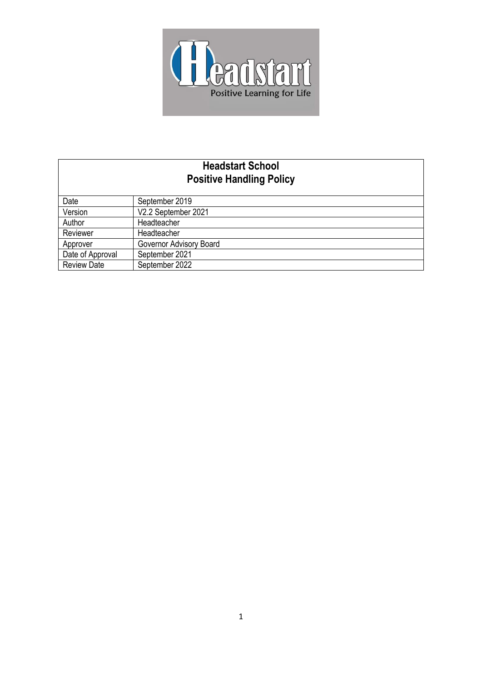

# **Headstart School Positive Handling Policy**

| Date               | September 2019          |
|--------------------|-------------------------|
| Version            | V2.2 September 2021     |
| Author             | Headteacher             |
| Reviewer           | Headteacher             |
| Approver           | Governor Advisory Board |
| Date of Approval   | September 2021          |
| <b>Review Date</b> | September 2022          |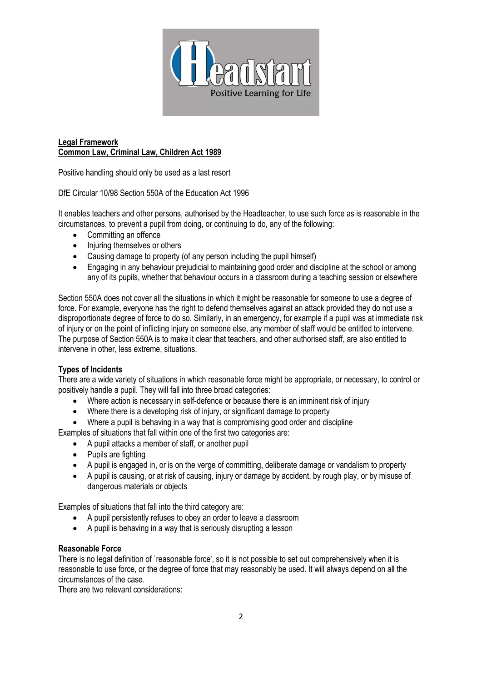

# **Legal Framework Common Law, Criminal Law, Children Act 1989**

Positive handling should only be used as a last resort

DfE Circular 10/98 Section 550A of the Education Act 1996

It enables teachers and other persons, authorised by the Headteacher, to use such force as is reasonable in the circumstances, to prevent a pupil from doing, or continuing to do, any of the following:

- Committing an offence
- Injuring themselves or others
- Causing damage to property (of any person including the pupil himself)
- Engaging in any behaviour prejudicial to maintaining good order and discipline at the school or among any of its pupils, whether that behaviour occurs in a classroom during a teaching session or elsewhere

Section 550A does not cover all the situations in which it might be reasonable for someone to use a degree of force. For example, everyone has the right to defend themselves against an attack provided they do not use a disproportionate degree of force to do so. Similarly, in an emergency, for example if a pupil was at immediate risk of injury or on the point of inflicting injury on someone else, any member of staff would be entitled to intervene. The purpose of Section 550A is to make it clear that teachers, and other authorised staff, are also entitled to intervene in other, less extreme, situations.

# **Types of Incidents**

There are a wide variety of situations in which reasonable force might be appropriate, or necessary, to control or positively handle a pupil. They will fall into three broad categories:

- Where action is necessary in self-defence or because there is an imminent risk of injury
- Where there is a developing risk of injury, or significant damage to property
- Where a pupil is behaving in a way that is compromising good order and discipline

Examples of situations that fall within one of the first two categories are:

- A pupil attacks a member of staff, or another pupil
- Pupils are fighting
- A pupil is engaged in, or is on the verge of committing, deliberate damage or vandalism to property
- A pupil is causing, or at risk of causing, injury or damage by accident, by rough play, or by misuse of dangerous materials or objects

Examples of situations that fall into the third category are:

- A pupil persistently refuses to obey an order to leave a classroom
- A pupil is behaving in a way that is seriously disrupting a lesson

### **Reasonable Force**

There is no legal definition of `reasonable force', so it is not possible to set out comprehensively when it is reasonable to use force, or the degree of force that may reasonably be used. It will always depend on all the circumstances of the case.

There are two relevant considerations: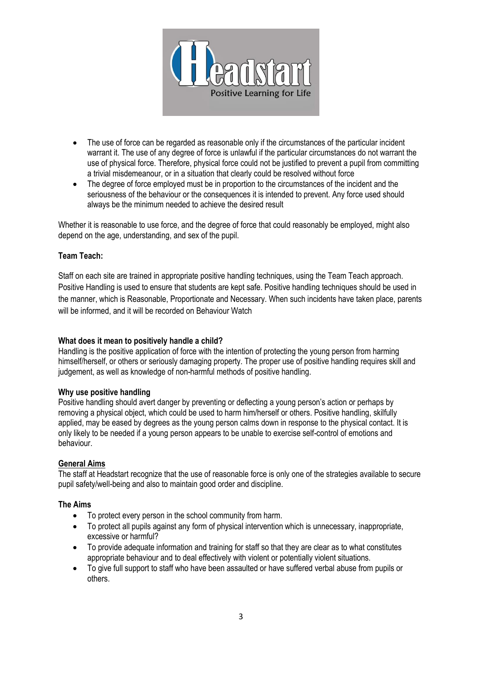

- The use of force can be regarded as reasonable only if the circumstances of the particular incident warrant it. The use of any degree of force is unlawful if the particular circumstances do not warrant the use of physical force. Therefore, physical force could not be justified to prevent a pupil from committing a trivial misdemeanour, or in a situation that clearly could be resolved without force
- The degree of force employed must be in proportion to the circumstances of the incident and the seriousness of the behaviour or the consequences it is intended to prevent. Any force used should always be the minimum needed to achieve the desired result

Whether it is reasonable to use force, and the degree of force that could reasonably be employed, might also depend on the age, understanding, and sex of the pupil.

## **Team Teach:**

Staff on each site are trained in appropriate positive handling techniques, using the Team Teach approach. Positive Handling is used to ensure that students are kept safe. Positive handling techniques should be used in the manner, which is Reasonable, Proportionate and Necessary. When such incidents have taken place, parents will be informed, and it will be recorded on Behaviour Watch

## **What does it mean to positively handle a child?**

Handling is the positive application of force with the intention of protecting the young person from harming himself/herself, or others or seriously damaging property. The proper use of positive handling requires skill and judgement, as well as knowledge of non-harmful methods of positive handling.

### **Why use positive handling**

Positive handling should avert danger by preventing or deflecting a young person's action or perhaps by removing a physical object, which could be used to harm him/herself or others. Positive handling, skilfully applied, may be eased by degrees as the young person calms down in response to the physical contact. It is only likely to be needed if a young person appears to be unable to exercise self-control of emotions and behaviour.

# **General Aims**

The staff at Headstart recognize that the use of reasonable force is only one of the strategies available to secure pupil safety/well-being and also to maintain good order and discipline.

### **The Aims**

- To protect every person in the school community from harm.
- To protect all pupils against any form of physical intervention which is unnecessary, inappropriate, excessive or harmful?
- To provide adequate information and training for staff so that they are clear as to what constitutes appropriate behaviour and to deal effectively with violent or potentially violent situations.
- To give full support to staff who have been assaulted or have suffered verbal abuse from pupils or others.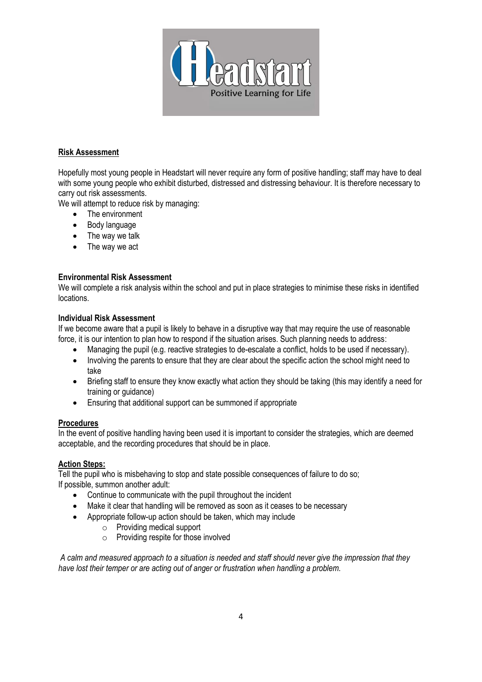

## **Risk Assessment**

Hopefully most young people in Headstart will never require any form of positive handling; staff may have to deal with some young people who exhibit disturbed, distressed and distressing behaviour. It is therefore necessary to carry out risk assessments.

We will attempt to reduce risk by managing:

- The environment
- Body language
- The way we talk
- The way we act

## **Environmental Risk Assessment**

We will complete a risk analysis within the school and put in place strategies to minimise these risks in identified locations.

## **Individual Risk Assessment**

If we become aware that a pupil is likely to behave in a disruptive way that may require the use of reasonable force, it is our intention to plan how to respond if the situation arises. Such planning needs to address:

- Managing the pupil (e.g. reactive strategies to de-escalate a conflict, holds to be used if necessary).
- Involving the parents to ensure that they are clear about the specific action the school might need to take
- Briefing staff to ensure they know exactly what action they should be taking (this may identify a need for training or guidance)
- Ensuring that additional support can be summoned if appropriate

## **Procedures**

In the event of positive handling having been used it is important to consider the strategies, which are deemed acceptable, and the recording procedures that should be in place.

## **Action Steps:**

Tell the pupil who is misbehaving to stop and state possible consequences of failure to do so; If possible, summon another adult:

- Continue to communicate with the pupil throughout the incident
- Make it clear that handling will be removed as soon as it ceases to be necessary
- Appropriate follow-up action should be taken, which may include
	- o Providing medical support
	- o Providing respite for those involved

*A calm and measured approach to a situation is needed and staff should never give the impression that they have lost their temper or are acting out of anger or frustration when handling a problem.*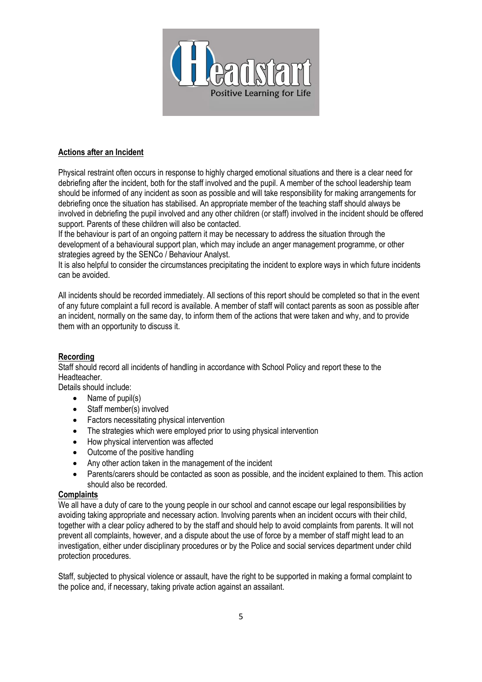

## **Actions after an Incident**

Physical restraint often occurs in response to highly charged emotional situations and there is a clear need for debriefing after the incident, both for the staff involved and the pupil. A member of the school leadership team should be informed of any incident as soon as possible and will take responsibility for making arrangements for debriefing once the situation has stabilised. An appropriate member of the teaching staff should always be involved in debriefing the pupil involved and any other children (or staff) involved in the incident should be offered support. Parents of these children will also be contacted.

If the behaviour is part of an ongoing pattern it may be necessary to address the situation through the development of a behavioural support plan, which may include an anger management programme, or other strategies agreed by the SENCo / Behaviour Analyst.

It is also helpful to consider the circumstances precipitating the incident to explore ways in which future incidents can be avoided.

All incidents should be recorded immediately. All sections of this report should be completed so that in the event of any future complaint a full record is available. A member of staff will contact parents as soon as possible after an incident, normally on the same day, to inform them of the actions that were taken and why, and to provide them with an opportunity to discuss it.

### **Recording**

Staff should record all incidents of handling in accordance with School Policy and report these to the Headteacher.

Details should include:

- Name of pupil(s)
- Staff member(s) involved
- Factors necessitating physical intervention
- The strategies which were employed prior to using physical intervention
- How physical intervention was affected
- Outcome of the positive handling
- Any other action taken in the management of the incident
- Parents/carers should be contacted as soon as possible, and the incident explained to them. This action should also be recorded.

## **Complaints**

We all have a duty of care to the young people in our school and cannot escape our legal responsibilities by avoiding taking appropriate and necessary action. Involving parents when an incident occurs with their child, together with a clear policy adhered to by the staff and should help to avoid complaints from parents. It will not prevent all complaints, however, and a dispute about the use of force by a member of staff might lead to an investigation, either under disciplinary procedures or by the Police and social services department under child protection procedures.

Staff, subjected to physical violence or assault, have the right to be supported in making a formal complaint to the police and, if necessary, taking private action against an assailant.